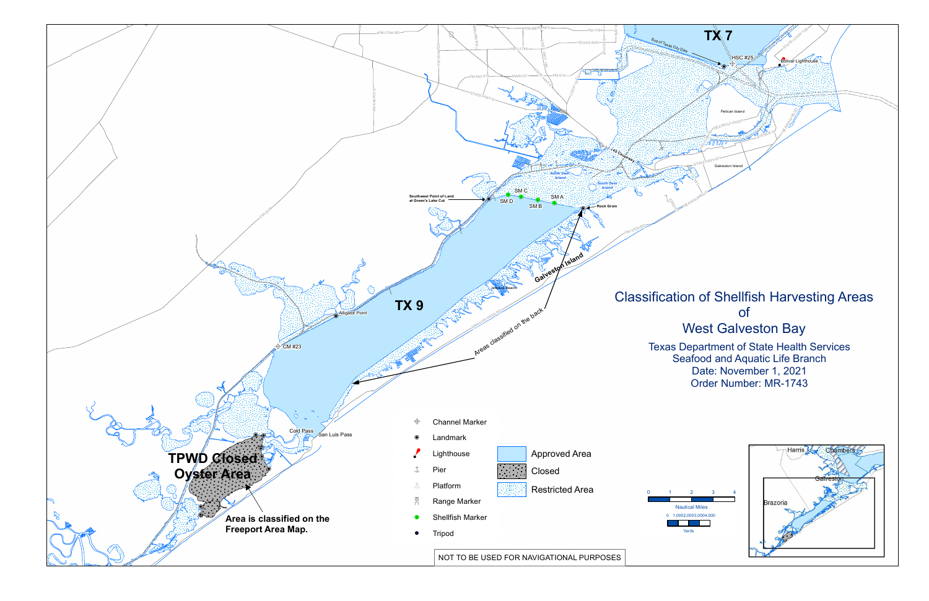